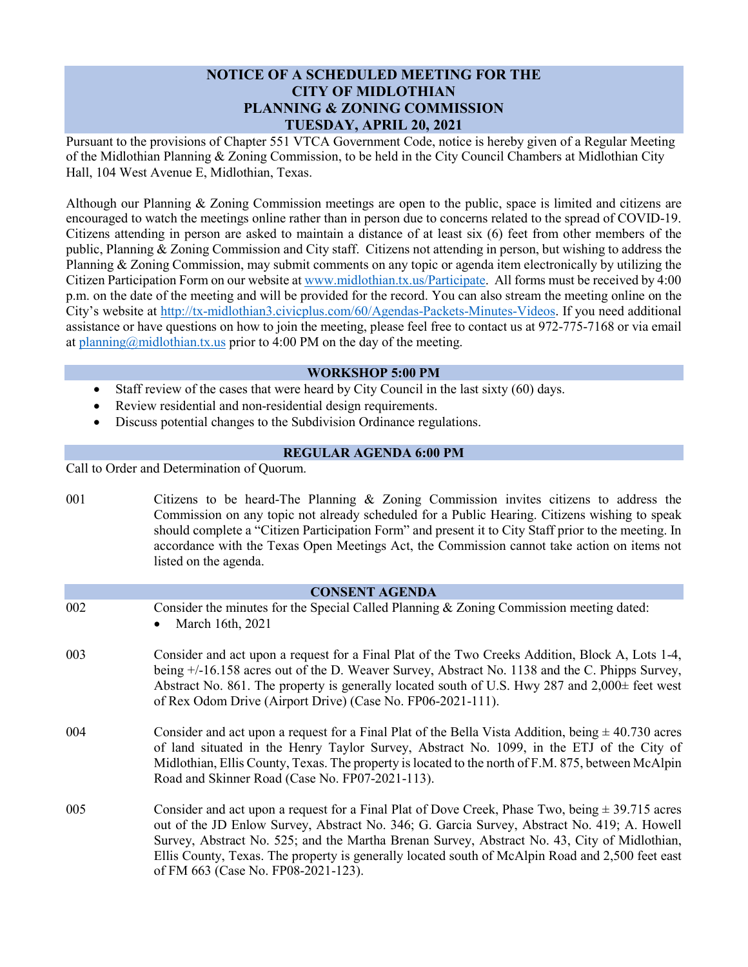# **NOTICE OF A SCHEDULED MEETING FOR THE CITY OF MIDLOTHIAN PLANNING & ZONING COMMISSION TUESDAY, APRIL 20, 2021**

Pursuant to the provisions of Chapter 551 VTCA Government Code, notice is hereby given of a Regular Meeting of the Midlothian Planning & Zoning Commission, to be held in the City Council Chambers at Midlothian City Hall, 104 West Avenue E, Midlothian, Texas.

Although our Planning & Zoning Commission meetings are open to the public, space is limited and citizens are encouraged to watch the meetings online rather than in person due to concerns related to the spread of COVID-19. Citizens attending in person are asked to maintain a distance of at least six (6) feet from other members of the public, Planning & Zoning Commission and City staff. Citizens not attending in person, but wishing to address the Planning & Zoning Commission, may submit comments on any topic or agenda item electronically by utilizing the Citizen Participation Form on our website a[t www.midlothian.tx.us/Participate.](http://www.midlothian.tx.us/Participate) All forms must be received by 4:00 p.m. on the date of the meeting and will be provided for the record. You can also stream the meeting online on the City's website at [http://tx-midlothian3.civicplus.com/60/Agendas-Packets-Minutes-Videos.](http://tx-midlothian3.civicplus.com/60/Agendas-Packets-Minutes-Videos) If you need additional assistance or have questions on how to join the meeting, please feel free to contact us at 972-775-7168 or via email at [planning@midlothian.tx.us](mailto:planning@midlothian.tx.us) prior to 4:00 PM on the day of the meeting.

#### **WORKSHOP 5:00 PM**

- Staff review of the cases that were heard by City Council in the last sixty (60) days.
- Review residential and non-residential design requirements.
- Discuss potential changes to the Subdivision Ordinance regulations.

## **REGULAR AGENDA 6:00 PM**

Call to Order and Determination of Quorum.

| 001                   | Citizens to be heard-The Planning & Zoning Commission invites citizens to address the<br>Commission on any topic not already scheduled for a Public Hearing. Citizens wishing to speak<br>should complete a "Citizen Participation Form" and present it to City Staff prior to the meeting. In<br>accordance with the Texas Open Meetings Act, the Commission cannot take action on items not<br>listed on the agenda.                        |
|-----------------------|-----------------------------------------------------------------------------------------------------------------------------------------------------------------------------------------------------------------------------------------------------------------------------------------------------------------------------------------------------------------------------------------------------------------------------------------------|
| <b>CONSENT AGENDA</b> |                                                                                                                                                                                                                                                                                                                                                                                                                                               |
| 002                   | Consider the minutes for the Special Called Planning & Zoning Commission meeting dated:<br>March 16th, 2021                                                                                                                                                                                                                                                                                                                                   |
| 003                   | Consider and act upon a request for a Final Plat of the Two Creeks Addition, Block A, Lots 1-4,<br>being +/-16.158 acres out of the D. Weaver Survey, Abstract No. 1138 and the C. Phipps Survey,<br>Abstract No. 861. The property is generally located south of U.S. Hwy 287 and $2,000\pm$ feet west<br>of Rex Odom Drive (Airport Drive) (Case No. FP06-2021-111).                                                                        |
| 004                   | Consider and act upon a request for a Final Plat of the Bella Vista Addition, being $\pm$ 40.730 acres<br>of land situated in the Henry Taylor Survey, Abstract No. 1099, in the ETJ of the City of<br>Midlothian, Ellis County, Texas. The property is located to the north of F.M. 875, between McAlpin<br>Road and Skinner Road (Case No. FP07-2021-113).                                                                                  |
| 005                   | Consider and act upon a request for a Final Plat of Dove Creek, Phase Two, being $\pm$ 39.715 acres<br>out of the JD Enlow Survey, Abstract No. 346; G. Garcia Survey, Abstract No. 419; A. Howell<br>Survey, Abstract No. 525; and the Martha Brenan Survey, Abstract No. 43, City of Midlothian,<br>Ellis County, Texas. The property is generally located south of McAlpin Road and 2,500 feet east<br>of FM 663 (Case No. FP08-2021-123). |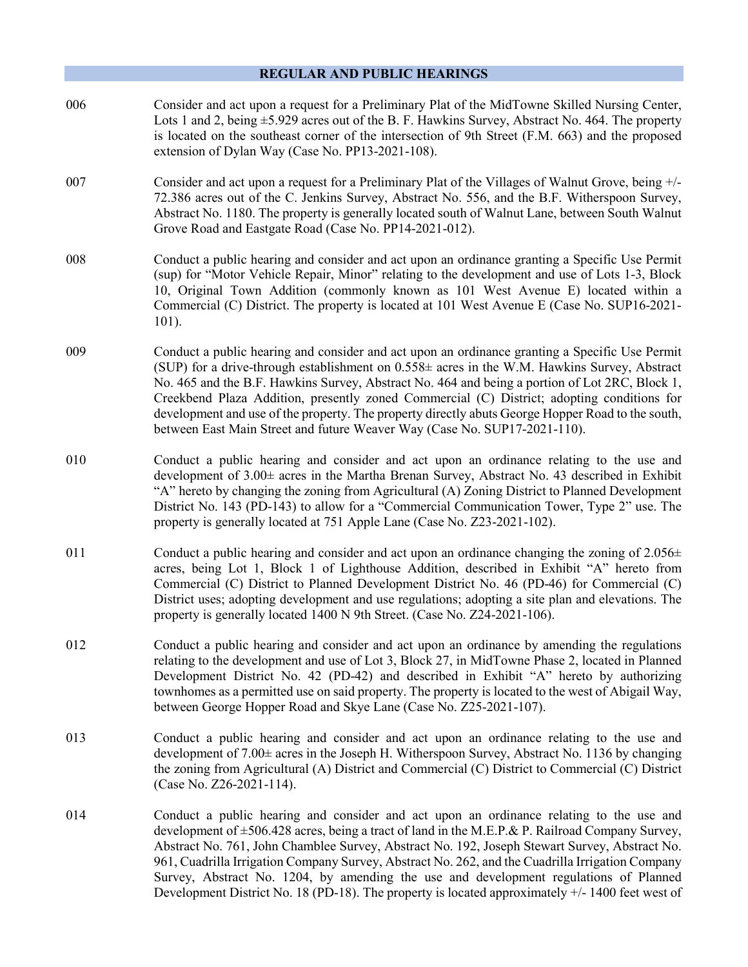#### **REGULAR AND PUBLIC HEARINGS**

- 006 Consider and act upon a request for a Preliminary Plat of the MidTowne Skilled Nursing Center, Lots 1 and 2, being  $\pm$ 5.929 acres out of the B. F. Hawkins Survey, Abstract No. 464. The property is located on the southeast corner of the intersection of 9th Street (F.M. 663) and the proposed extension of Dylan Way (Case No. PP13-2021-108).
- 007 Consider and act upon a request for a Preliminary Plat of the Villages of Walnut Grove, being +/- 72.386 acres out of the C. Jenkins Survey, Abstract No. 556, and the B.F. Witherspoon Survey, Abstract No. 1180. The property is generally located south of Walnut Lane, between South Walnut Grove Road and Eastgate Road (Case No. PP14-2021-012).
- 008 Conduct a public hearing and consider and act upon an ordinance granting a Specific Use Permit (sup) for "Motor Vehicle Repair, Minor" relating to the development and use of Lots 1-3, Block 10, Original Town Addition (commonly known as 101 West Avenue E) located within a Commercial (C) District. The property is located at 101 West Avenue E (Case No. SUP16-2021- 101).
- 009 Conduct a public hearing and consider and act upon an ordinance granting a Specific Use Permit (SUP) for a drive-through establishment on  $0.558\pm$  acres in the W.M. Hawkins Survey, Abstract No. 465 and the B.F. Hawkins Survey, Abstract No. 464 and being a portion of Lot 2RC, Block 1, Creekbend Plaza Addition, presently zoned Commercial (C) District; adopting conditions for development and use of the property. The property directly abuts George Hopper Road to the south, between East Main Street and future Weaver Way (Case No. SUP17-2021-110).
- 010 Conduct a public hearing and consider and act upon an ordinance relating to the use and development of 3.00± acres in the Martha Brenan Survey, Abstract No. 43 described in Exhibit "A" hereto by changing the zoning from Agricultural (A) Zoning District to Planned Development District No. 143 (PD-143) to allow for a "Commercial Communication Tower, Type 2" use. The property is generally located at 751 Apple Lane (Case No. Z23-2021-102).
- 011 Conduct a public hearing and consider and act upon an ordinance changing the zoning of  $2.056 \pm$ acres, being Lot 1, Block 1 of Lighthouse Addition, described in Exhibit "A" hereto from Commercial (C) District to Planned Development District No. 46 (PD-46) for Commercial (C) District uses; adopting development and use regulations; adopting a site plan and elevations. The property is generally located 1400 N 9th Street. (Case No. Z24-2021-106).
- 012 Conduct a public hearing and consider and act upon an ordinance by amending the regulations relating to the development and use of Lot 3, Block 27, in MidTowne Phase 2, located in Planned Development District No. 42 (PD-42) and described in Exhibit "A" hereto by authorizing townhomes as a permitted use on said property. The property is located to the west of Abigail Way, between George Hopper Road and Skye Lane (Case No. Z25-2021-107).
- 013 Conduct a public hearing and consider and act upon an ordinance relating to the use and development of  $7.00\pm$  acres in the Joseph H. Witherspoon Survey, Abstract No. 1136 by changing the zoning from Agricultural (A) District and Commercial (C) District to Commercial (C) District (Case No. Z26-2021-114).
- 014 Conduct a public hearing and consider and act upon an ordinance relating to the use and development of ±506.428 acres, being a tract of land in the M.E.P.& P. Railroad Company Survey, Abstract No. 761, John Chamblee Survey, Abstract No. 192, Joseph Stewart Survey, Abstract No. 961, Cuadrilla Irrigation Company Survey, Abstract No. 262, and the Cuadrilla Irrigation Company Survey, Abstract No. 1204, by amending the use and development regulations of Planned Development District No. 18 (PD-18). The property is located approximately +/- 1400 feet west of